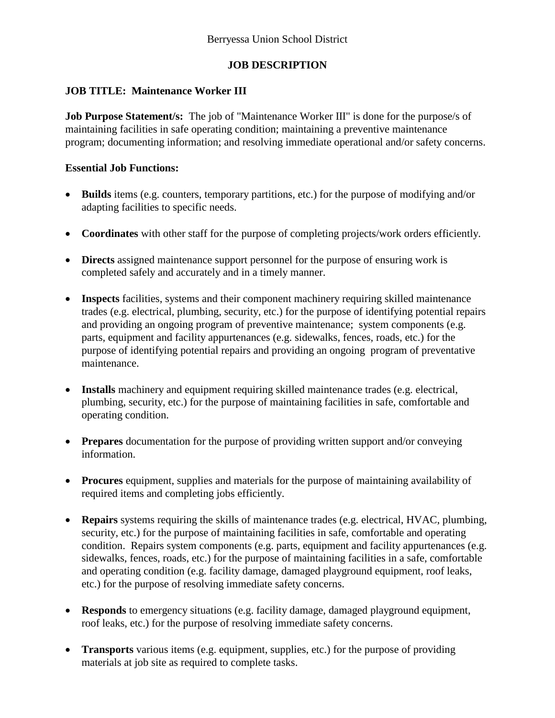# **JOB DESCRIPTION**

## **JOB TITLE: Maintenance Worker III**

**Job Purpose Statement/s:** The job of "Maintenance Worker III" is done for the purpose/s of maintaining facilities in safe operating condition; maintaining a preventive maintenance program; documenting information; and resolving immediate operational and/or safety concerns.

### **Essential Job Functions:**

- **Builds** items (e.g. counters, temporary partitions, etc.) for the purpose of modifying and/or adapting facilities to specific needs.
- **Coordinates** with other staff for the purpose of completing projects/work orders efficiently.
- **Directs** assigned maintenance support personnel for the purpose of ensuring work is completed safely and accurately and in a timely manner.
- **Inspects** facilities, systems and their component machinery requiring skilled maintenance trades (e.g. electrical, plumbing, security, etc.) for the purpose of identifying potential repairs and providing an ongoing program of preventive maintenance; system components (e.g. parts, equipment and facility appurtenances (e.g. sidewalks, fences, roads, etc.) for the purpose of identifying potential repairs and providing an ongoing program of preventative maintenance.
- **Installs** machinery and equipment requiring skilled maintenance trades (e.g. electrical, plumbing, security, etc.) for the purpose of maintaining facilities in safe, comfortable and operating condition.
- **Prepares** documentation for the purpose of providing written support and/or conveying information.
- **Procures** equipment, supplies and materials for the purpose of maintaining availability of required items and completing jobs efficiently.
- **Repairs** systems requiring the skills of maintenance trades (e.g. electrical, HVAC, plumbing, security, etc.) for the purpose of maintaining facilities in safe, comfortable and operating condition. Repairs system components (e.g. parts, equipment and facility appurtenances (e.g. sidewalks, fences, roads, etc.) for the purpose of maintaining facilities in a safe, comfortable and operating condition (e.g. facility damage, damaged playground equipment, roof leaks, etc.) for the purpose of resolving immediate safety concerns.
- **Responds** to emergency situations (e.g. facility damage, damaged playground equipment, roof leaks, etc.) for the purpose of resolving immediate safety concerns.
- **Transports** various items (e.g. equipment, supplies, etc.) for the purpose of providing materials at job site as required to complete tasks.